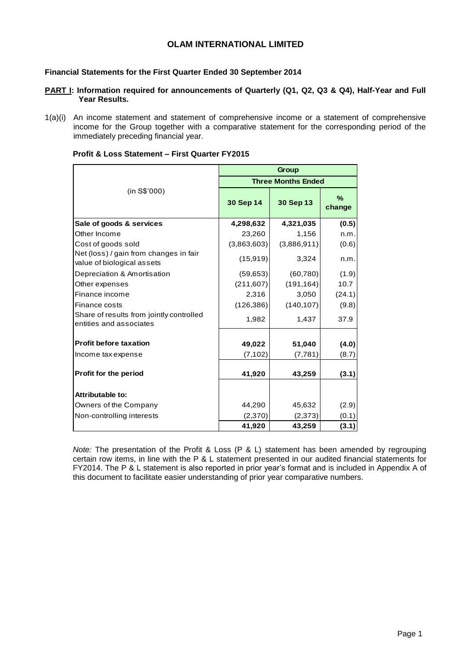## **OLAM INTERNATIONAL LIMITED**

### **Financial Statements for the First Quarter Ended 30 September 2014**

- **PART I: Information required for announcements of Quarterly (Q1, Q2, Q3 & Q4), Half-Year and Full Year Results.**
- 1(a)(i) An income statement and statement of comprehensive income or a statement of comprehensive income for the Group together with a comparative statement for the corresponding period of the immediately preceding financial year.

| Profit & Loss Statement – First Quarter FY2015 |  |  |
|------------------------------------------------|--|--|
|------------------------------------------------|--|--|

|                                                                      | Group       |                           |                |  |  |  |  |  |
|----------------------------------------------------------------------|-------------|---------------------------|----------------|--|--|--|--|--|
|                                                                      |             | <b>Three Months Ended</b> |                |  |  |  |  |  |
| (in S\$'000)                                                         | 30 Sep 14   | 30 Sep 13                 | $\%$<br>change |  |  |  |  |  |
| Sale of goods & services                                             | 4,298,632   | 4,321,035                 | (0.5)          |  |  |  |  |  |
| Other Income                                                         | 23,260      | 1,156                     | n.m.           |  |  |  |  |  |
| Cost of goods sold                                                   | (3,863,603) | (3,886,911)               | (0.6)          |  |  |  |  |  |
| Net (loss) / gain from changes in fair<br>value of biological assets | (15, 919)   | 3,324                     | n.m.           |  |  |  |  |  |
| Depreciation & Amortisation                                          | (59, 653)   | (60, 780)                 | (1.9)          |  |  |  |  |  |
| Other expenses                                                       | (211, 607)  | (191, 164)                | 10.7           |  |  |  |  |  |
| Finance income                                                       | 2,316       | 3,050                     | (24.1)         |  |  |  |  |  |
| Finance costs                                                        | (126, 386)  | (140, 107)                | (9.8)          |  |  |  |  |  |
| Share of results from jointly controlled<br>entities and associates  | 1,982       | 1,437                     | 37.9           |  |  |  |  |  |
| <b>Profit before taxation</b>                                        | 49,022      | 51,040                    | (4.0)          |  |  |  |  |  |
| Income tax expense                                                   | (7, 102)    | (7, 781)                  | (8.7)          |  |  |  |  |  |
| Profit for the period                                                | 41,920      | 43,259                    | (3.1)          |  |  |  |  |  |
| <b>Attributable to:</b>                                              |             |                           |                |  |  |  |  |  |
| Owners of the Company                                                | 44,290      | 45,632                    | (2.9)          |  |  |  |  |  |
| Non-controlling interests                                            | (2,370)     | (2, 373)                  | (0.1)          |  |  |  |  |  |
|                                                                      | 41,920      | 43,259                    | (3.1)          |  |  |  |  |  |

*Note:* The presentation of the Profit & Loss (P & L) statement has been amended by regrouping certain row items, in line with the P & L statement presented in our audited financial statements for FY2014. The P & L statement is also reported in prior year's format and is included in Appendix A of this document to facilitate easier understanding of prior year comparative numbers.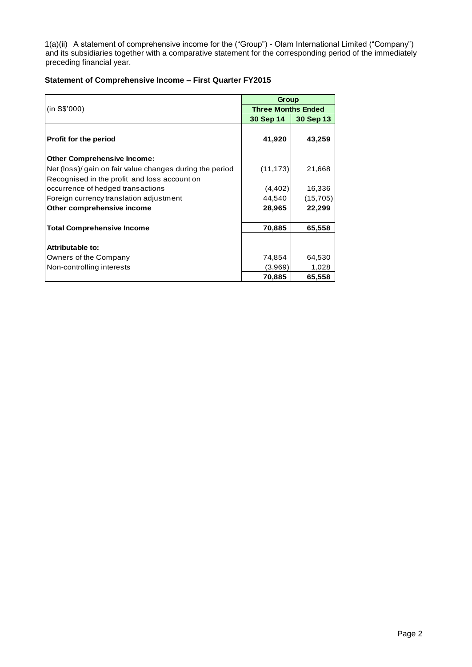1(a)(ii) A statement of comprehensive income for the ("Group") - Olam International Limited ("Company") and its subsidiaries together with a comparative statement for the corresponding period of the immediately preceding financial year.

### **Statement of Comprehensive Income – First Quarter FY2015**

|                                                          |                           | Group     |  |  |  |  |  |
|----------------------------------------------------------|---------------------------|-----------|--|--|--|--|--|
| (in S\$'000)                                             | <b>Three Months Ended</b> |           |  |  |  |  |  |
|                                                          | 30 Sep 14                 | 30 Sep 13 |  |  |  |  |  |
| <b>Profit for the period</b>                             | 41,920                    | 43,259    |  |  |  |  |  |
| <b>Other Comprehensive Income:</b>                       |                           |           |  |  |  |  |  |
| Net (loss)/ gain on fair value changes during the period | (11, 173)                 | 21,668    |  |  |  |  |  |
| Recognised in the profit and loss account on             |                           |           |  |  |  |  |  |
| occurrence of hedged transactions                        | (4,402)                   | 16,336    |  |  |  |  |  |
| Foreign currency translation adjustment                  | 44,540                    | (15,705)  |  |  |  |  |  |
| Other comprehensive income                               | 28,965                    | 22,299    |  |  |  |  |  |
|                                                          |                           |           |  |  |  |  |  |
| <b>Total Comprehensive Income</b>                        | 70,885                    | 65,558    |  |  |  |  |  |
|                                                          |                           |           |  |  |  |  |  |
| Attributable to:                                         |                           |           |  |  |  |  |  |
| Owners of the Company                                    | 74,854                    | 64,530    |  |  |  |  |  |
| Non-controlling interests                                | (3,969)                   | 1,028     |  |  |  |  |  |
|                                                          | 70,885                    | 65,558    |  |  |  |  |  |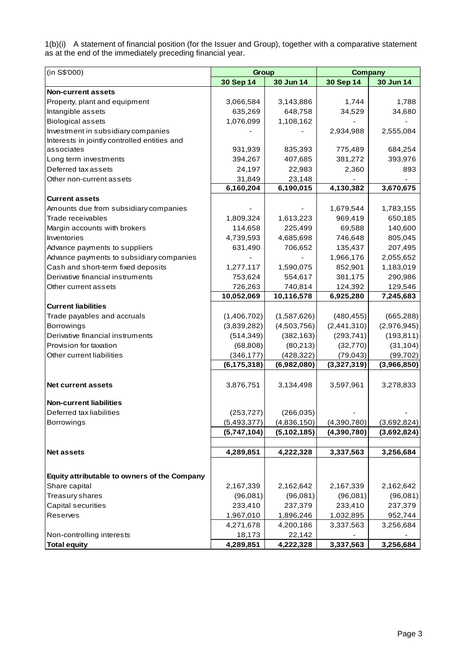1(b)(i) A statement of financial position (for the Issuer and Group), together with a comparative statement as at the end of the immediately preceding financial year.

| (in S\$'000)                                 | Group         |               | <b>Company</b> |             |  |  |
|----------------------------------------------|---------------|---------------|----------------|-------------|--|--|
|                                              | 30 Sep 14     | 30 Jun 14     | 30 Sep 14      | 30 Jun 14   |  |  |
| <b>Non-current assets</b>                    |               |               |                |             |  |  |
| Property, plant and equipment                | 3,066,584     | 3,143,886     | 1,744          | 1,788       |  |  |
| Intangible assets                            | 635,269       | 648,758       | 34,529         | 34,680      |  |  |
| <b>Biological assets</b>                     | 1,076,099     | 1,108,162     |                |             |  |  |
| Investment in subsidiary companies           |               |               | 2,934,988      | 2,555,084   |  |  |
| Interests in jointly controlled entities and |               |               |                |             |  |  |
| associates                                   | 931,939       | 835,393       | 775,489        | 684,254     |  |  |
| Long term investments                        | 394,267       | 407,685       | 381,272        | 393,976     |  |  |
| Deferred tax assets                          | 24,197        | 22,983        | 2,360          | 893         |  |  |
| Other non-current assets                     | 31,849        | 23,148        |                |             |  |  |
|                                              | 6,160,204     | 6,190,015     | 4,130,382      | 3,670,675   |  |  |
| <b>Current assets</b>                        |               |               |                |             |  |  |
| Amounts due from subsidiary companies        |               |               | 1,679,544      | 1,783,155   |  |  |
| Trade receivables                            | 1,809,324     | 1,613,223     | 969,419        | 650,185     |  |  |
| Margin accounts with brokers                 | 114,658       | 225,499       | 69,588         | 140,600     |  |  |
| Inventories                                  | 4,739,593     | 4,685,698     | 746,648        | 805,045     |  |  |
| Advance payments to suppliers                | 631,490       | 706,652       | 135,437        | 207,495     |  |  |
| Advance payments to subsidiary companies     |               |               | 1,966,176      | 2,055,652   |  |  |
| Cash and short-term fixed deposits           | 1,277,117     | 1,590,075     | 852,901        | 1,183,019   |  |  |
| Derivative financial instruments             | 753,624       | 554,617       | 381,175        | 290,986     |  |  |
| Other current assets                         | 726,263       | 740,814       | 124,392        | 129,546     |  |  |
|                                              | 10,052,069    | 10,116,578    | 6,925,280      | 7,245,683   |  |  |
| <b>Current liabilities</b>                   |               |               |                |             |  |  |
| Trade payables and accruals                  | (1,406,702)   | (1,587,626)   | (480, 455)     | (665, 288)  |  |  |
| <b>Borrowings</b>                            | (3,839,282)   | (4,503,756)   | (2,441,310)    | (2,976,945) |  |  |
| Derivative financial instruments             | (514, 349)    | (382, 163)    | (293, 741)     | (193, 811)  |  |  |
| Provision for taxation                       | (68, 808)     | (80,213)      | (32, 770)      | (31, 104)   |  |  |
| Other current liabilities                    | (346, 177)    | (428, 322)    | (79, 043)      | (99, 702)   |  |  |
|                                              | (6, 175, 318) | (6,982,080)   | (3,327,319)    | (3,966,850) |  |  |
|                                              |               |               |                |             |  |  |
| <b>Net current assets</b>                    | 3,876,751     | 3,134,498     | 3,597,961      | 3,278,833   |  |  |
| <b>Non-current liabilities</b>               |               |               |                |             |  |  |
| Deferred tax liabilities                     | (253, 727)    | (266, 035)    |                |             |  |  |
| Borrowings                                   | (5,493,377)   | (4,836,150)   | (4,390,780)    | (3,692,824) |  |  |
|                                              | (5,747,104)   | (5, 102, 185) | (4,390,780)    | (3,692,824) |  |  |
|                                              |               |               |                |             |  |  |
| <b>Net assets</b>                            | 4,289,851     | 4,222,328     | 3,337,563      | 3,256,684   |  |  |
|                                              |               |               |                |             |  |  |
| Equity attributable to owners of the Company |               |               |                |             |  |  |
| Share capital                                | 2,167,339     | 2,162,642     | 2,167,339      | 2,162,642   |  |  |
| Treasury shares                              | (96,081)      | (96,081)      | (96,081)       | (96,081)    |  |  |
| Capital securities                           | 233,410       | 237,379       | 233,410        | 237,379     |  |  |
| Reserves                                     | 1,967,010     | 1,896,246     | 1,032,895      | 952,744     |  |  |
|                                              | 4,271,678     | 4,200,186     | 3,337,563      | 3,256,684   |  |  |
| Non-controlling interests                    | 18,173        | 22,142        |                |             |  |  |
| <b>Total equity</b>                          | 4,289,851     | 4,222,328     | 3,337,563      | 3,256,684   |  |  |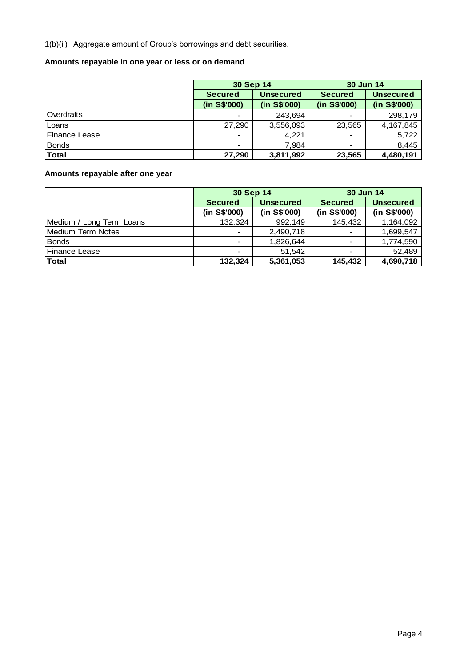1(b)(ii) Aggregate amount of Group's borrowings and debt securities.

# **Amounts repayable in one year or less or on demand**

|                      | 30 Sep 14      |                  | 30 Jun 14      |                  |
|----------------------|----------------|------------------|----------------|------------------|
|                      | <b>Secured</b> | <b>Unsecured</b> | <b>Secured</b> | <b>Unsecured</b> |
|                      | (in S\$'000)   | (in S\$'000)     | (in S\$'000)   | (in S\$'000)     |
| Overdrafts           | $\blacksquare$ | 243,694          |                | 298,179          |
| Loans                | 27,290         | 3,556,093        | 23,565         | 4, 167, 845      |
| <b>Finance Lease</b> | $\blacksquare$ | 4.221            |                | 5,722            |
| Bonds                | $\blacksquare$ | 7.984            |                | 8,445            |
| Total                | 27,290         | 3,811,992        | 23,565         | 4,480,191        |

# **Amounts repayable after one year**

|                          | 30 Sep 14      |                  | 30 Jun 14                |                  |  |
|--------------------------|----------------|------------------|--------------------------|------------------|--|
|                          | <b>Secured</b> | <b>Unsecured</b> | <b>Secured</b>           | <b>Unsecured</b> |  |
|                          | (in S\$'000)   | (in S\$'000)     | (in S\$'000)             | (in S\$'000)     |  |
| Medium / Long Term Loans | 132,324        | 992,149          | 145,432                  | 1,164,092        |  |
| <b>Medium Term Notes</b> | $\blacksquare$ | 2,490,718        | $\overline{\phantom{a}}$ | 1,699,547        |  |
| <b>Bonds</b>             | $\blacksquare$ | 1,826,644        |                          | 1,774,590        |  |
| Finance Lease            | $\blacksquare$ | 51,542           | $\overline{\phantom{a}}$ | 52,489           |  |
| <b>Total</b>             | 132,324        | 5,361,053        | 145,432                  | 4,690,718        |  |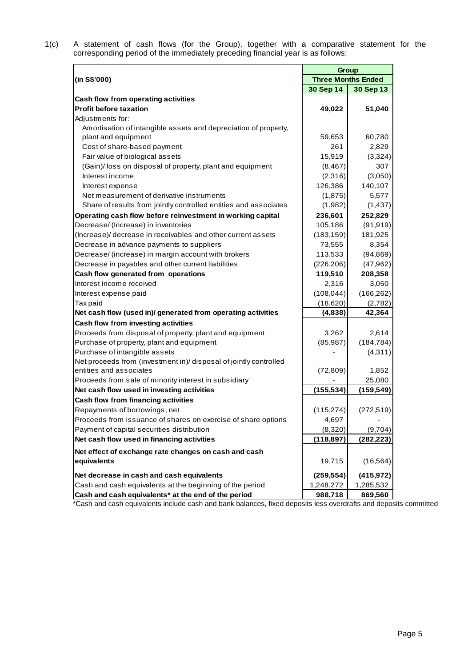1(c) A statement of cash flows (for the Group), together with a comparative statement for the corresponding period of the immediately preceding financial year is as follows:

|                                                                   | Group      |                           |  |  |  |
|-------------------------------------------------------------------|------------|---------------------------|--|--|--|
| (in S\$'000)                                                      |            | <b>Three Months Ended</b> |  |  |  |
|                                                                   | 30 Sep 14  | 30 Sep 13                 |  |  |  |
| Cash flow from operating activities                               |            |                           |  |  |  |
| <b>Profit before taxation</b>                                     | 49,022     | 51,040                    |  |  |  |
| Adjustments for:                                                  |            |                           |  |  |  |
| Amortisation of intangible assets and depreciation of property,   |            |                           |  |  |  |
| plant and equipment                                               | 59,653     | 60,780                    |  |  |  |
| Cost of share-based payment                                       | 261        | 2,829                     |  |  |  |
| Fair value of biological assets                                   | 15,919     | (3,324)                   |  |  |  |
| (Gain)/loss on disposal of property, plant and equipment          | (8, 467)   | 307                       |  |  |  |
| Interest income                                                   | (2,316)    | (3,050)                   |  |  |  |
| Interest expense                                                  | 126,386    | 140,107                   |  |  |  |
| Net measurement of derivative instruments                         | (1,875)    | 5,577                     |  |  |  |
| Share of results from jointly controlled entities and associates  | (1,982)    | (1, 437)                  |  |  |  |
| Operating cash flow before reinvestment in working capital        | 236,601    | 252,829                   |  |  |  |
| Decrease/ (Increase) in inventories                               | 105,186    | (91, 919)                 |  |  |  |
| (Increase)/ decrease in receivables and other current assets      | (183, 159) | 181,925                   |  |  |  |
| Decrease in advance payments to suppliers                         | 73,555     | 8,354                     |  |  |  |
| Decrease/ (increase) in margin account with brokers               | 113,533    | (94, 869)                 |  |  |  |
| Decrease in payables and other current liabilities                | (226, 206) | (47, 962)                 |  |  |  |
| Cash flow generated from operations                               | 119,510    | 208,358                   |  |  |  |
| Interest income received                                          | 2,316      | 3,050                     |  |  |  |
| Interest expense paid                                             | (108, 044) | (166, 262)                |  |  |  |
| Tax paid                                                          | (18,620)   | (2,782)                   |  |  |  |
| Net cash flow (used in)/ generated from operating activities      | (4,838)    | 42,364                    |  |  |  |
| Cash flow from investing activities                               |            |                           |  |  |  |
| Proceeds from disposal of property, plant and equipment           | 3,262      | 2,614                     |  |  |  |
| Purchase of property, plant and equipment                         | (85, 987)  | (184, 784)                |  |  |  |
| Purchase of intangible assets                                     |            | (4, 311)                  |  |  |  |
| Net proceeds from (investment in)/ disposal of jointly controlled |            |                           |  |  |  |
| entities and associates                                           | (72, 809)  | 1,852                     |  |  |  |
| Proceeds from sale of minority interest in subsidiary             |            | 25,080                    |  |  |  |
| Net cash flow used in investing activities                        | (155, 534) | (159, 549)                |  |  |  |
| Cash flow from financing activities                               |            |                           |  |  |  |
| Repayments of borrowings, net                                     | (115, 274) | (272, 519)                |  |  |  |
| Proceeds from issuance of shares on exercise of share options     | 4,697      |                           |  |  |  |
| Payment of capital securities distribution                        | (8,320)    | (9,704)                   |  |  |  |
| Net cash flow used in financing activities                        | (118, 897) | (282, 223)                |  |  |  |
| Net effect of exchange rate changes on cash and cash              |            |                           |  |  |  |
| equivalents                                                       | 19,715     | (16, 564)                 |  |  |  |
| Net decrease in cash and cash equivalents                         | (259, 554) | (415, 972)                |  |  |  |
| Cash and cash equivalents at the beginning of the period          | 1,248,272  | 1,285,532                 |  |  |  |
| Cash and cash equivalents* at the end of the period               | 988,718    | 869,560                   |  |  |  |

\*Cash and cash equivalents include cash and bank balances, fixed deposits less overdrafts and deposits committed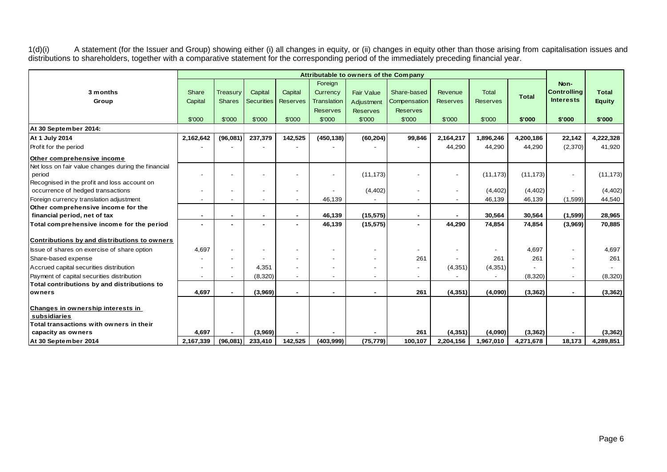1(d)(i) A statement (for the Issuer and Group) showing either (i) all changes in equity, or (ii) changes in equity other than those arising from capitalisation issues and distributions to shareholders, together with a comparative statement for the corresponding period of the immediately preceding financial year.

|                                                     | Attributable to owners of the Company |               |                   |                          |                    |                   |                          |                 |                          |              |                          |               |
|-----------------------------------------------------|---------------------------------------|---------------|-------------------|--------------------------|--------------------|-------------------|--------------------------|-----------------|--------------------------|--------------|--------------------------|---------------|
|                                                     |                                       |               |                   |                          | Foreign            |                   |                          |                 |                          |              | Non-                     |               |
| 3 months                                            | Share                                 | Treasury      | Capital           | Capital                  | Currency           | <b>Fair Value</b> | Share-based              | Revenue         | <b>Total</b>             | <b>Total</b> | <b>Controlling</b>       | <b>Total</b>  |
| Group                                               | Capital                               | <b>Shares</b> | <b>Securities</b> | <b>Reserves</b>          | <b>Translation</b> | Adjustment        | Compensation             | <b>Reserves</b> | <b>Reserves</b>          |              | <b>Interests</b>         | <b>Equity</b> |
|                                                     |                                       |               |                   |                          | <b>Reserves</b>    | <b>Reserves</b>   | <b>Reserves</b>          |                 |                          |              |                          |               |
|                                                     | \$'000                                | \$'000        | \$'000            | \$'000                   | \$'000             | \$'000            | \$'000                   | \$'000          | \$'000                   | \$'000       | \$'000                   | \$'000        |
| At 30 September 2014:                               |                                       |               |                   |                          |                    |                   |                          |                 |                          |              |                          |               |
| At 1 July 2014                                      | 2,162,642                             | (96,081)      | 237,379           | 142,525                  | (450, 138)         | (60, 204)         | 99,846                   | 2,164,217       | 1,896,246                | 4,200,186    | 22,142                   | 4,222,328     |
| Profit for the period                               |                                       |               |                   |                          |                    |                   |                          | 44,290          | 44,290                   | 44,290       | (2,370)                  | 41,920        |
| Other comprehensive income                          |                                       |               |                   |                          |                    |                   |                          |                 |                          |              |                          |               |
| Net loss on fair value changes during the financial |                                       |               |                   |                          |                    |                   |                          |                 |                          |              |                          |               |
| period                                              |                                       |               |                   |                          |                    | (11, 173)         |                          |                 | (11, 173)                | (11, 173)    | $\sim$                   | (11, 173)     |
| Recognised in the profit and loss account on        |                                       |               |                   |                          |                    |                   |                          |                 |                          |              |                          |               |
| occurrence of hedged transactions                   |                                       |               |                   | $\overline{\phantom{a}}$ |                    | (4, 402)          |                          |                 | (4, 402)                 | (4, 402)     |                          | (4, 402)      |
| Foreign currency translation adjustment             |                                       |               |                   |                          | 46,139             |                   | $\overline{\phantom{a}}$ |                 | 46,139                   | 46,139       | (1,599)                  | 44,540        |
| Other comprehensive income for the                  |                                       |               |                   |                          |                    |                   |                          |                 |                          |              |                          |               |
| financial period, net of tax                        |                                       |               |                   | ٠                        | 46,139             | (15, 575)         | ٠                        |                 | 30,564                   | 30,564       | (1,599)                  | 28,965        |
| Total comprehensive income for the period           |                                       |               |                   |                          | 46,139             | (15, 575)         |                          | 44,290          | 74,854                   | 74,854       | (3,969)                  | 70,885        |
| Contributions by and distributions to owners        |                                       |               |                   |                          |                    |                   |                          |                 |                          |              |                          |               |
| Issue of shares on exercise of share option         | 4.697                                 |               |                   |                          |                    |                   | $\overline{\phantom{a}}$ |                 | $\overline{\phantom{a}}$ | 4,697        | $\overline{\phantom{a}}$ | 4,697         |
| Share-based expense                                 |                                       |               |                   |                          |                    |                   | 261                      |                 | 261                      | 261          |                          | 261           |
| Accrued capital securities distribution             |                                       |               | 4,351             |                          |                    |                   |                          | (4, 351)        | (4, 351)                 |              |                          |               |
| Payment of capital securities distribution          |                                       |               | (8,320)           |                          |                    |                   | $\overline{\phantom{0}}$ |                 |                          | (8,320)      | $\blacksquare$           | (8,320)       |
| Total contributions by and distributions to         |                                       |               |                   |                          |                    |                   |                          |                 |                          |              |                          |               |
| owners                                              | 4,697                                 |               | (3,969)           |                          | $\sim$             | $\blacksquare$    | 261                      | (4, 351)        | (4,090)                  | (3,362)      | $\sim$                   | (3, 362)      |
| Changes in ownership interests in                   |                                       |               |                   |                          |                    |                   |                          |                 |                          |              |                          |               |
| subsidiaries                                        |                                       |               |                   |                          |                    |                   |                          |                 |                          |              |                          |               |
| Total transactions with owners in their             |                                       |               |                   |                          |                    |                   |                          |                 |                          |              |                          |               |
| capacity as owners                                  | 4,697                                 |               | (3,969)           |                          |                    |                   | 261                      | (4, 351)        | (4,090)                  | (3, 362)     |                          | (3, 362)      |
| At 30 September 2014                                | 2,167,339                             | (96,081)      | 233,410           | 142,525                  | (403,999)          | (75, 779)         | 100.107                  | 2,204,156       | 1,967,010                | 4,271,678    | 18,173                   | 4,289,851     |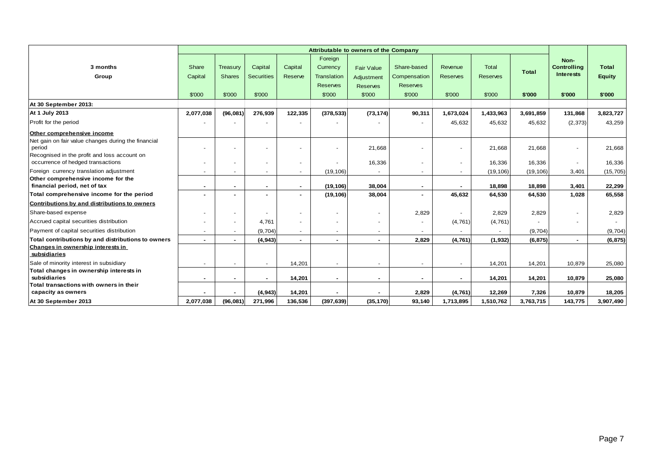|                                                                                             | <b>Attributable to owners of the Company</b> |                           |                              |                    |                                    |                                 |                             |                            |                          |           |                                                |                               |
|---------------------------------------------------------------------------------------------|----------------------------------------------|---------------------------|------------------------------|--------------------|------------------------------------|---------------------------------|-----------------------------|----------------------------|--------------------------|-----------|------------------------------------------------|-------------------------------|
| 3 months<br>Group                                                                           | Share<br>Capital                             | Treasury<br><b>Shares</b> | Capital<br><b>Securities</b> | Capital<br>Reserve | Foreign<br>Currency<br>Translation | <b>Fair Value</b><br>Adjustment | Share-based<br>Compensation | Revenue<br><b>Reserves</b> | Total<br><b>Reserves</b> | Total     | Non-<br><b>Controlling</b><br><b>Interests</b> | <b>Total</b><br><b>Equity</b> |
|                                                                                             | \$'000                                       | \$'000                    | \$'000                       |                    | <b>Reserves</b><br>\$'000          | <b>Reserves</b><br>\$'000       | <b>Reserves</b><br>\$'000   | \$'000                     | \$'000                   | \$'000    | \$'000                                         | \$'000                        |
| At 30 September 2013:                                                                       |                                              |                           |                              |                    |                                    |                                 |                             |                            |                          |           |                                                |                               |
| At 1 July 2013                                                                              | 2,077,038                                    | (96, 081)                 | 276,939                      | 122,335            | (378, 533)                         | (73, 174)                       | 90,311                      | 1,673,024                  | 1,433,963                | 3,691,859 | 131,868                                        | 3,823,727                     |
| Profit for the period                                                                       |                                              |                           |                              |                    |                                    |                                 |                             | 45,632                     | 45,632                   | 45,632    | (2, 373)                                       | 43,259                        |
|                                                                                             |                                              |                           |                              |                    |                                    |                                 |                             |                            |                          |           |                                                |                               |
| Other comprehensive income<br>Net gain on fair value changes during the financial<br>period |                                              |                           |                              |                    |                                    | 21,668                          |                             |                            | 21,668                   | 21,668    |                                                | 21,668                        |
| Recognised in the profit and loss account on<br>occurrence of hedged transactions           |                                              |                           |                              |                    |                                    | 16,336                          |                             |                            | 16,336                   | 16,336    |                                                | 16,336                        |
| Foreign currency translation adjustment                                                     |                                              |                           |                              | $\sim$             | (19, 106)                          |                                 | $\overline{\phantom{a}}$    | $\sim$                     | (19, 106)                | (19, 106) | 3,401                                          | (15, 705)                     |
| Other comprehensive income for the<br>financial period, net of tax                          | $\sim$                                       |                           |                              | $\blacksquare$     | (19, 106)                          | 38,004                          | $\blacksquare$              |                            | 18,898                   | 18,898    | 3,401                                          | 22,299                        |
| Total comprehensive income for the period                                                   |                                              |                           |                              | $\blacksquare$     | (19, 106)                          | 38,004                          | $\blacksquare$              | 45,632                     | 64,530                   | 64,530    | 1.028                                          | 65,558                        |
| Contributions by and distributions to owners                                                |                                              |                           |                              |                    |                                    |                                 |                             |                            |                          |           |                                                |                               |
| Share-based expense                                                                         |                                              |                           |                              |                    | ٠                                  |                                 | 2,829                       |                            | 2,829                    | 2,829     |                                                | 2,829                         |
| Accrued capital securities distribution                                                     |                                              |                           | 4.761                        |                    |                                    |                                 |                             | (4, 761)                   | (4, 761)                 |           |                                                |                               |
| Payment of capital securities distribution                                                  | $\sim$                                       |                           | (9.704)                      | $\sim$             |                                    |                                 |                             |                            |                          | (9,704)   |                                                | (9,704)                       |
| Total contributions by and distributions to owners                                          | $\blacksquare$                               |                           | (4, 943)                     | $\blacksquare$     | $\blacksquare$                     | $\blacksquare$                  | 2,829                       | (4, 761)                   | (1, 932)                 | (6, 875)  |                                                | (6, 875)                      |
| Changes in ownership interests in<br>subsidiaries                                           |                                              |                           |                              |                    |                                    |                                 |                             |                            |                          |           |                                                |                               |
| Sale of minority interest in subsidiary                                                     | $\overline{\phantom{a}}$                     |                           | $\sim$                       | 14,201             | $\overline{\phantom{a}}$           | ٠                               | $\overline{\phantom{a}}$    | $\sim$                     | 14,201                   | 14,201    | 10,879                                         | 25,080                        |
| Total changes in ownership interests in<br>subsidiaries                                     | $\overline{\phantom{0}}$                     |                           |                              | 14,201             | $\blacksquare$                     |                                 | $\blacksquare$              | $\blacksquare$             | 14,201                   | 14,201    | 10,879                                         | 25,080                        |
| Total transactions with owners in their<br>capacity as owners                               |                                              |                           | (4, 943)                     | 14,201             |                                    |                                 | 2,829                       | (4, 761)                   | 12,269                   | 7,326     | 10,879                                         | 18,205                        |
| At 30 September 2013                                                                        | 2,077,038                                    | (96,081)                  | 271,996                      | 136,536            | (397, 639)                         | (35, 170)                       | 93,140                      | 1,713,895                  | 1,510,762                | 3,763,715 | 143,775                                        | 3,907,490                     |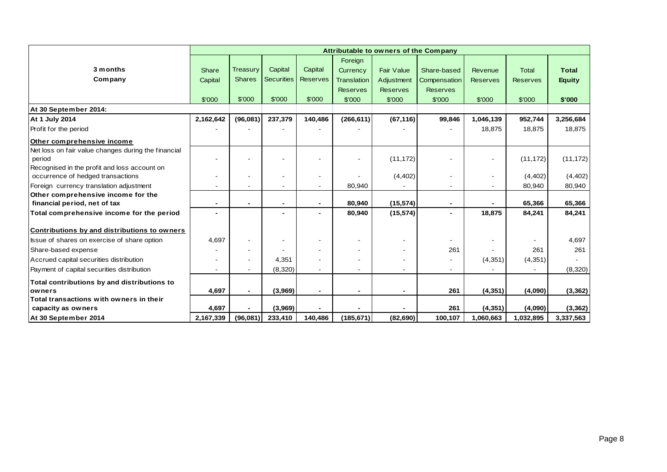|                                                     | Attributable to owners of the Company |                 |                          |                 |                 |                   |                          |                 |                 |               |  |
|-----------------------------------------------------|---------------------------------------|-----------------|--------------------------|-----------------|-----------------|-------------------|--------------------------|-----------------|-----------------|---------------|--|
|                                                     |                                       |                 |                          |                 | Foreign         |                   |                          |                 |                 |               |  |
| 3 months                                            | <b>Share</b>                          | <b>Treasury</b> | Capital                  | Capital         | Currency        | <b>Fair Value</b> | Share-based              | Revenue         | <b>Total</b>    | <b>Total</b>  |  |
| Company                                             | Capital                               | <b>Shares</b>   | <b>Securities</b>        | <b>Reserves</b> | Translation     | Adjustment        | Compensation             | <b>Reserves</b> | <b>Reserves</b> | <b>Equity</b> |  |
|                                                     |                                       |                 |                          |                 | <b>Reserves</b> | <b>Reserves</b>   | <b>Reserves</b>          |                 |                 |               |  |
|                                                     | \$'000                                | \$'000          | \$'000                   | \$'000          | \$'000          | \$'000            | \$'000                   | \$'000          | \$'000          | \$'000        |  |
| At 30 September 2014:                               |                                       |                 |                          |                 |                 |                   |                          |                 |                 |               |  |
| At 1 July 2014                                      | 2,162,642                             | (96,081)        | 237,379                  | 140,486         | (266, 611)      | (67, 116)         | 99,846                   | 1,046,139       | 952,744         | 3,256,684     |  |
| Profit for the period                               |                                       |                 |                          |                 |                 |                   |                          | 18,875          | 18,875          | 18,875        |  |
| Other comprehensive income                          |                                       |                 |                          |                 |                 |                   |                          |                 |                 |               |  |
| Net loss on fair value changes during the financial |                                       |                 |                          |                 |                 |                   |                          |                 |                 |               |  |
| period                                              |                                       |                 |                          |                 |                 | (11, 172)         |                          |                 | (11, 172)       | (11, 172)     |  |
| Recognised in the profit and loss account on        |                                       |                 |                          |                 |                 |                   |                          |                 |                 |               |  |
| occurrence of hedged transactions                   |                                       | $\blacksquare$  |                          |                 |                 | (4, 402)          |                          |                 | (4, 402)        | (4, 402)      |  |
| Foreign currency translation adjustment             |                                       |                 | $\overline{\phantom{a}}$ |                 | 80,940          |                   |                          |                 | 80,940          | 80,940        |  |
| Other comprehensive income for the                  |                                       |                 |                          |                 |                 |                   |                          |                 |                 |               |  |
| financial period, net of tax                        | $\overline{\phantom{a}}$              | -               |                          |                 | 80,940          | (15, 574)         | $\overline{\phantom{a}}$ |                 | 65,366          | 65,366        |  |
| Total comprehensive income for the period           |                                       |                 |                          |                 | 80,940          | (15, 574)         | $\overline{\phantom{0}}$ | 18,875          | 84,241          | 84,241        |  |
| Contributions by and distributions to owners        |                                       |                 |                          |                 |                 |                   |                          |                 |                 |               |  |
| Issue of shares on exercise of share option         | 4,697                                 | $\blacksquare$  |                          |                 |                 |                   |                          |                 |                 | 4,697         |  |
| Share-based expense                                 |                                       |                 |                          |                 |                 |                   | 261                      |                 | 261             | 261           |  |
| Accrued capital securities distribution             |                                       |                 | 4,351                    |                 |                 |                   | $\frac{1}{2}$            | (4,351)         | (4,351)         |               |  |
| Payment of capital securities distribution          |                                       |                 | (8,320)                  |                 |                 |                   | ۰.                       |                 |                 | (8,320)       |  |
| Total contributions by and distributions to         |                                       |                 |                          |                 |                 |                   |                          |                 |                 |               |  |
| owners                                              | 4,697                                 | $\blacksquare$  | (3,969)                  | $\blacksquare$  | ٠               | $\blacksquare$    | 261                      | (4, 351)        | (4,090)         | (3, 362)      |  |
| Total transactions with owners in their             |                                       |                 |                          |                 |                 |                   |                          |                 |                 |               |  |
| capacity as owners                                  | 4,697                                 |                 | (3,969)                  |                 |                 |                   | 261                      | (4, 351)        | (4,090)         | (3, 362)      |  |
| At 30 September 2014                                | 2,167,339                             | (96,081)        | 233,410                  | 140,486         | (185, 671)      | (82, 690)         | 100,107                  | 1,060,663       | 1,032,895       | 3,337,563     |  |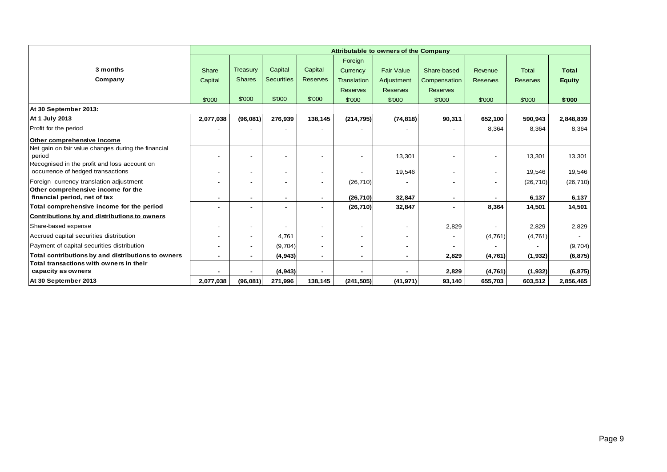|                                                                                   | <b>Attributable to owners of the Company</b> |                          |                          |                 |                 |                          |                          |                          |                 |               |  |
|-----------------------------------------------------------------------------------|----------------------------------------------|--------------------------|--------------------------|-----------------|-----------------|--------------------------|--------------------------|--------------------------|-----------------|---------------|--|
|                                                                                   |                                              |                          |                          |                 | Foreign         |                          |                          |                          |                 |               |  |
| 3 months                                                                          | Share                                        | Treasury                 | Capital                  | Capital         | Currency        | <b>Fair Value</b>        | Share-based              | Revenue                  | Total           | <b>Total</b>  |  |
| Company                                                                           | Capital                                      | <b>Shares</b>            | <b>Securities</b>        | <b>Reserves</b> | Translation     | Adjustment               | Compensation             | <b>Reserves</b>          | <b>Reserves</b> | <b>Equity</b> |  |
|                                                                                   |                                              |                          |                          |                 | <b>Reserves</b> | <b>Reserves</b>          | <b>Reserves</b>          |                          |                 |               |  |
|                                                                                   | \$'000                                       | \$'000                   | \$'000                   | \$'000          | \$'000          | \$'000                   | \$'000                   | \$'000                   | \$'000          | \$'000        |  |
| At 30 September 2013:                                                             |                                              |                          |                          |                 |                 |                          |                          |                          |                 |               |  |
| At 1 July 2013                                                                    | 2,077,038                                    | (96,081)                 | 276,939                  | 138,145         | (214, 795)      | (74, 818)                | 90,311                   | 652,100                  | 590,943         | 2,848,839     |  |
| Profit for the period                                                             |                                              |                          |                          |                 |                 |                          |                          | 8,364                    | 8,364           | 8,364         |  |
| Other comprehensive income                                                        |                                              |                          |                          |                 |                 |                          |                          |                          |                 |               |  |
| Net gain on fair value changes during the financial<br>period                     |                                              |                          |                          |                 |                 | 13,301                   |                          |                          | 13,301          | 13,301        |  |
| Recognised in the profit and loss account on<br>occurrence of hedged transactions |                                              |                          | $\overline{\phantom{a}}$ |                 |                 | 19,546                   |                          | $\overline{\phantom{a}}$ | 19,546          | 19,546        |  |
| Foreign currency translation adjustment                                           |                                              | $\overline{\phantom{a}}$ | $\overline{\phantom{0}}$ |                 | (26, 710)       |                          | $\overline{\phantom{0}}$ | $\overline{\phantom{0}}$ | (26, 710)       | (26, 710)     |  |
| Other comprehensive income for the<br>financial period, net of tax                | $\blacksquare$                               | ٠                        | ۰                        |                 | (26, 710)       | 32,847                   | ٠                        |                          | 6,137           | 6,137         |  |
| Total comprehensive income for the period                                         |                                              |                          | ٠                        |                 | (26, 710)       | 32,847                   |                          | 8,364                    | 14,501          | 14,501        |  |
| Contributions by and distributions to owners                                      |                                              |                          |                          |                 |                 |                          |                          |                          |                 |               |  |
| Share-based expense                                                               |                                              | $\overline{\phantom{a}}$ |                          |                 | $\overline{a}$  | $\overline{a}$           | 2,829                    |                          | 2,829           | 2,829         |  |
| Accrued capital securities distribution                                           |                                              | $\overline{\phantom{a}}$ | 4,761                    |                 | $\blacksquare$  | $\overline{\phantom{a}}$ | $\overline{\phantom{a}}$ | (4, 761)                 | (4,761)         |               |  |
| Payment of capital securities distribution                                        |                                              |                          | (9,704)                  |                 | $\blacksquare$  | $\overline{\phantom{a}}$ |                          |                          |                 | (9,704)       |  |
| Total contributions by and distributions to owners                                | $\blacksquare$                               |                          | (4,943)                  | $\blacksquare$  | $\sim$          | $\sim$                   | 2,829                    | (4, 761)                 | (1, 932)        | (6, 875)      |  |
| Total transactions with owners in their<br>capacity as owners                     |                                              |                          | (4, 943)                 |                 |                 |                          | 2,829                    | (4, 761)                 | (1, 932)        | (6, 875)      |  |
| At 30 September 2013                                                              | 2,077,038                                    | (96,081)                 | 271,996                  | 138,145         | (241, 505)      | (41, 971)                | 93,140                   | 655,703                  | 603,512         | 2,856,465     |  |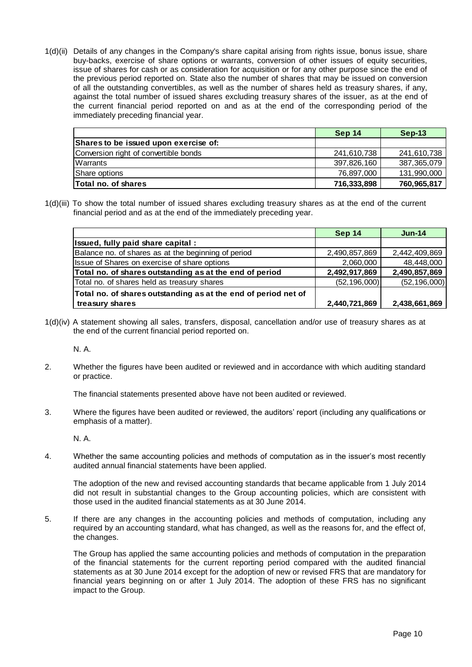1(d)(ii) Details of any changes in the Company's share capital arising from rights issue, bonus issue, share buy-backs, exercise of share options or warrants, conversion of other issues of equity securities, issue of shares for cash or as consideration for acquisition or for any other purpose since the end of the previous period reported on. State also the number of shares that may be issued on conversion of all the outstanding convertibles, as well as the number of shares held as treasury shares, if any, against the total number of issued shares excluding treasury shares of the issuer, as at the end of the current financial period reported on and as at the end of the corresponding period of the immediately preceding financial year.

|                                       | Sep 14      | $Sep-13$    |
|---------------------------------------|-------------|-------------|
| Shares to be issued upon exercise of: |             |             |
| Conversion right of convertible bonds | 241,610,738 | 241,610,738 |
| Warrants                              | 397,826,160 | 387,365,079 |
| Share options                         | 76.897.000  | 131,990,000 |
| <b>Total no. of shares</b>            | 716,333,898 | 760,965,817 |

1(d)(iii) To show the total number of issued shares excluding treasury shares as at the end of the current financial period and as at the end of the immediately preceding year.

|                                                                | Sep 14         | $Jun-14$       |
|----------------------------------------------------------------|----------------|----------------|
| Issued, fully paid share capital :                             |                |                |
| Balance no. of shares as at the beginning of period            | 2,490,857,869  | 2,442,409,869  |
| Issue of Shares on exercise of share options                   | 2,060,000      | 48,448,000     |
| Total no. of shares outstanding as at the end of period        | 2,492,917,869  | 2,490,857,869  |
| Total no. of shares held as treasury shares                    | (52, 196, 000) | (52, 196, 000) |
| Total no. of shares outstanding as at the end of period net of |                |                |
| treasury shares                                                | 2,440,721,869  | 2,438,661,869  |

1(d)(iv) A statement showing all sales, transfers, disposal, cancellation and/or use of treasury shares as at the end of the current financial period reported on.

N. A.

2. Whether the figures have been audited or reviewed and in accordance with which auditing standard or practice.

The financial statements presented above have not been audited or reviewed.

3. Where the figures have been audited or reviewed, the auditors' report (including any qualifications or emphasis of a matter).

N. A.

4. Whether the same accounting policies and methods of computation as in the issuer's most recently audited annual financial statements have been applied.

The adoption of the new and revised accounting standards that became applicable from 1 July 2014 did not result in substantial changes to the Group accounting policies, which are consistent with those used in the audited financial statements as at 30 June 2014.

5. If there are any changes in the accounting policies and methods of computation, including any required by an accounting standard, what has changed, as well as the reasons for, and the effect of, the changes.

The Group has applied the same accounting policies and methods of computation in the preparation of the financial statements for the current reporting period compared with the audited financial statements as at 30 June 2014 except for the adoption of new or revised FRS that are mandatory for financial years beginning on or after 1 July 2014. The adoption of these FRS has no significant impact to the Group.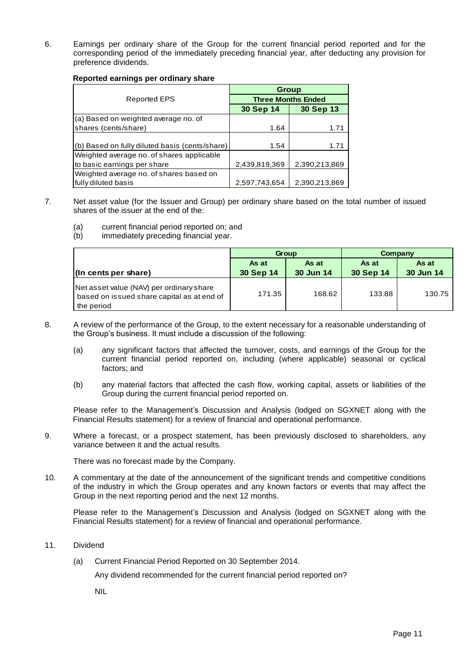6. Earnings per ordinary share of the Group for the current financial period reported and for the corresponding period of the immediately preceding financial year, after deducting any provision for preference dividends.

#### **Reported earnings per ordinary share**

|                                                | Group                     |               |  |  |
|------------------------------------------------|---------------------------|---------------|--|--|
| Reported EPS                                   | <b>Three Months Ended</b> |               |  |  |
|                                                | 30 Sep 14                 | 30 Sep 13     |  |  |
| (a) Based on weighted average no. of           |                           |               |  |  |
| shares (cents/share)                           | 1.64                      | 1.71          |  |  |
|                                                |                           |               |  |  |
| (b) Based on fully diluted basis (cents/share) | 1.54                      | 1.71          |  |  |
| Weighted average no. of shares applicable      |                           |               |  |  |
| to basic earnings per share                    | 2,439,819,369             | 2,390,213,869 |  |  |
| Weighted average no. of shares based on        |                           |               |  |  |
| fully diluted basis                            | 2,597,743,654             | 2,390,213,869 |  |  |

- 7. Net asset value (for the Issuer and Group) per ordinary share based on the total number of issued shares of the issuer at the end of the:
	- (a) current financial period reported on; and
	- (b) immediately preceding financial year.

|                                                                                                      | Group     |           | Company   |           |
|------------------------------------------------------------------------------------------------------|-----------|-----------|-----------|-----------|
|                                                                                                      | As at     | As at     | As at     | As at     |
| (In cents per share)                                                                                 | 30 Sep 14 | 30 Jun 14 | 30 Sep 14 | 30 Jun 14 |
| Net asset value (NAV) per ordinary share<br>based on issued share capital as at end of<br>the period | 171.35    | 168.62    | 133.88    | 130.75    |

- 8. A review of the performance of the Group, to the extent necessary for a reasonable understanding of the Group's business. It must include a discussion of the following:
	- (a) any significant factors that affected the turnover, costs, and earnings of the Group for the current financial period reported on, including (where applicable) seasonal or cyclical factors; and
	- (b) any material factors that affected the cash flow, working capital, assets or liabilities of the Group during the current financial period reported on.

Please refer to the Management's Discussion and Analysis (lodged on SGXNET along with the Financial Results statement) for a review of financial and operational performance.

9. Where a forecast, or a prospect statement, has been previously disclosed to shareholders, any variance between it and the actual results.

There was no forecast made by the Company.

10. A commentary at the date of the announcement of the significant trends and competitive conditions of the industry in which the Group operates and any known factors or events that may affect the Group in the next reporting period and the next 12 months.

Please refer to the Management's Discussion and Analysis (lodged on SGXNET along with the Financial Results statement) for a review of financial and operational performance.

- 11. Dividend
	- (a) Current Financial Period Reported on 30 September 2014.

Any dividend recommended for the current financial period reported on?

NIL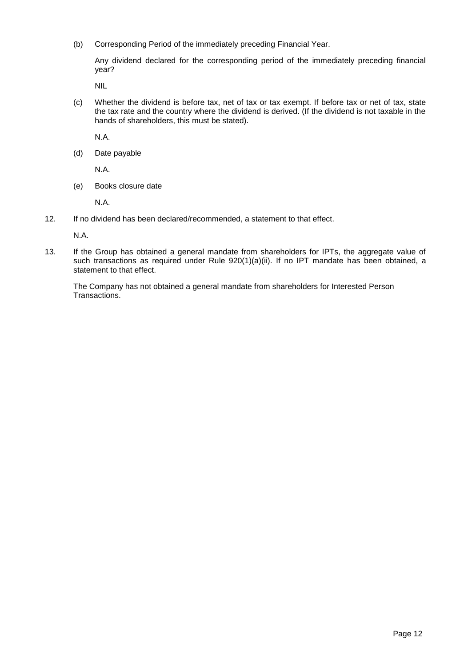(b) Corresponding Period of the immediately preceding Financial Year.

Any dividend declared for the corresponding period of the immediately preceding financial year?

NIL

(c) Whether the dividend is before tax, net of tax or tax exempt. If before tax or net of tax, state the tax rate and the country where the dividend is derived. (If the dividend is not taxable in the hands of shareholders, this must be stated).

N.A.

(d) Date payable

N.A.

(e) Books closure date

N.A.

12. If no dividend has been declared/recommended, a statement to that effect.

N.A.

13. If the Group has obtained a general mandate from shareholders for IPTs, the aggregate value of such transactions as required under Rule 920(1)(a)(ii). If no IPT mandate has been obtained, a statement to that effect.

The Company has not obtained a general mandate from shareholders for Interested Person Transactions.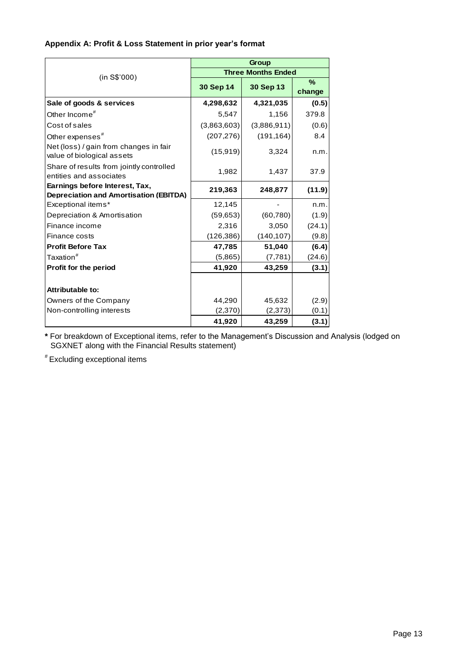### **Appendix A: Profit & Loss Statement in prior year's format**

|                                                                      | Group       |                           |                |  |
|----------------------------------------------------------------------|-------------|---------------------------|----------------|--|
| (in S\$'000)                                                         |             | <b>Three Months Ended</b> |                |  |
|                                                                      | 30 Sep 14   | 30 Sep 13                 | $\%$<br>change |  |
| Sale of goods & services                                             | 4,298,632   | 4,321,035                 | (0.5)          |  |
| Other Income ${}^{\#}$                                               | 5,547       | 1,156                     | 379.8          |  |
| Cost of sales                                                        | (3,863,603) | (3,886,911)               | (0.6)          |  |
| Other expenses $^{\text{\#}}$                                        | (207, 276)  | (191, 164)                | 8.4            |  |
| Net (loss) / gain from changes in fair<br>value of biological assets | (15, 919)   | 3,324                     | n.m.           |  |
| Share of results from jointly controlled<br>entities and associates  | 1,982       | 1,437                     | 37.9           |  |
| Earnings before Interest, Tax,                                       | 219,363     | 248,877                   | (11.9)         |  |
| <b>Depreciation and Amortisation (EBITDA)</b>                        |             |                           |                |  |
| Exceptional items*                                                   | 12,145      |                           | n.m.           |  |
| Depreciation & Amortisation                                          | (59, 653)   | (60, 780)                 | (1.9)          |  |
| Finance income                                                       | 2,316       | 3,050                     | (24.1)         |  |
| Finance costs                                                        | (126, 386)  | (140, 107)                | (9.8)          |  |
| <b>Profit Before Tax</b>                                             | 47,785      | 51,040                    | (6.4)          |  |
| Taxation <sup>#</sup>                                                | (5,865)     | (7, 781)                  | (24.6)         |  |
| Profit for the period                                                | 41,920      | 43,259                    | (3.1)          |  |
|                                                                      |             |                           |                |  |
| <b>Attributable to:</b>                                              |             |                           |                |  |
| Owners of the Company                                                | 44,290      | 45,632                    | (2.9)          |  |
| Non-controlling interests                                            | (2,370)     | (2,373)                   | (0.1)          |  |
|                                                                      | 41,920      | 43,259                    | (3.1)          |  |

**\*** For breakdown of Exceptional items, refer to the Management's Discussion and Analysis (lodged on SGXNET along with the Financial Results statement)

# Excluding exceptional items